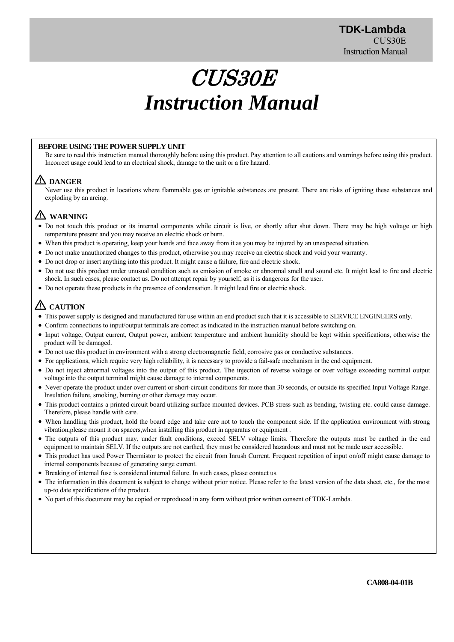# CUS30E *Instruction Manual*

#### **BEFORE USING THE POWER SUPPLY UNIT**

Be sure to read this instruction manual thoroughly before using this product. Pay attention to all cautions and warnings before using this product. Incorrect usage could lead to an electrical shock, damage to the unit or a fire hazard.

# **DANGER**

Never use this product in locations where flammable gas or ignitable substances are present. There are risks of igniting these substances and exploding by an arcing.

# **WARNING**

- Do not touch this product or its internal components while circuit is live, or shortly after shut down. There may be high voltage or high temperature present and you may receive an electric shock or burn.
- When this product is operating, keep your hands and face away from it as you may be injured by an unexpected situation.
- Do not make unauthorized changes to this product, otherwise you may receive an electric shock and void your warranty.
- Do not drop or insert anything into this product. It might cause a failure, fire and electric shock.
- Do not use this product under unusual condition such as emission of smoke or abnormal smell and sound etc. It might lead to fire and electric shock. In such cases, please contact us. Do not attempt repair by yourself, as it is dangerous for the user.
- Do not operate these products in the presence of condensation. It might lead fire or electric shock.

# **CAUTION**

- This power supply is designed and manufactured for use within an end product such that it is accessible to SERVICE ENGINEERS only.
- Confirm connections to input/output terminals are correct as indicated in the instruction manual before switching on.
- Input voltage, Output current, Output power, ambient temperature and ambient humidity should be kept within specifications, otherwise the product will be damaged.
- Do not use this product in environment with a strong electromagnetic field, corrosive gas or conductive substances.
- For applications, which require very high reliability, it is necessary to provide a fail-safe mechanism in the end equipment.
- Do not inject abnormal voltages into the output of this product. The injection of reverse voltage or over voltage exceeding nominal output voltage into the output terminal might cause damage to internal components.
- Never operate the product under over current or short-circuit conditions for more than 30 seconds, or outside its specified Input Voltage Range. Insulation failure, smoking, burning or other damage may occur.
- This product contains a printed circuit board utilizing surface mounted devices. PCB stress such as bending, twisting etc. could cause damage. Therefore, please handle with care.
- When handling this product, hold the board edge and take care not to touch the component side. If the application environment with strong vibration,please mount it on spacers,when installing this product in apparatus or equipment .
- The outputs of this product may, under fault conditions, exceed SELV voltage limits. Therefore the outputs must be earthed in the end equipment to maintain SELV. If the outputs are not earthed, they must be considered hazardous and must not be made user accessible.
- This product has used Power Thermistor to protect the circuit from Inrush Current. Frequent repetition of input on/off might cause damage to internal components because of generating surge current.
- Breaking of internal fuse is considered internal failure. In such cases, please contact us.
- The information in this document is subject to change without prior notice. Please refer to the latest version of the data sheet, etc., for the most up-to date specifications of the product.
- No part of this document may be copied or reproduced in any form without prior written consent of TDK-Lambda.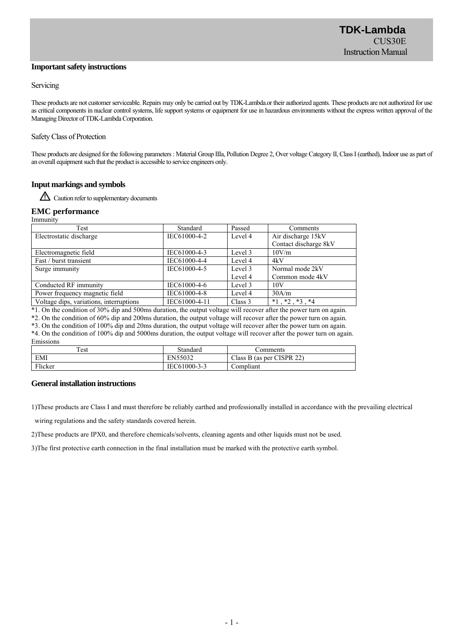#### **Important safety instructions**

#### Servicing

These products are not customer serviceable. Repairs may only be carried out by TDK-Lambda.or their authorized agents. These products are not authorized for use as critical components in nuclear control systems, life support systems or equipment for use in hazardous environments without the express written approval of the Managing Director of TDK-Lambda Corporation.

#### Safety Class of Protection

These products are designed for the following parameters : Material Group IIIa, Pollution Degree 2, Over voltage Category II, Class I (earthed), Indoor use as part of an overall equipment such that the product is accessible to service engineers only.

## **Input markings and symbols**

Caution refer to supplementary documents

#### **EMC performance**

Immunity

| Test                                                           | Standard      | Passed   | Comments                  |  |
|----------------------------------------------------------------|---------------|----------|---------------------------|--|
| Electrostatic discharge                                        | IEC61000-4-2  | Level 4  | Air discharge 15kV        |  |
|                                                                |               |          | Contact discharge 8kV     |  |
| Electromagnetic field                                          | IEC61000-4-3  | Level 3  | 10V/m                     |  |
| Fast / burst transient                                         | IEC61000-4-4  | Level 4  | 4kV                       |  |
| Surge immunity                                                 | IEC61000-4-5  | Level 3  | Normal mode 2kV           |  |
|                                                                |               | Level 4  | Common mode 4kV           |  |
| Conducted RF immunity                                          | IEC61000-4-6  | Level 3  | 10V                       |  |
| Power frequency magnetic field                                 | IEC61000-4-8  | Level 4  | 30A/m                     |  |
| Voltage dips, variations, interruptions                        | IEC61000-4-11 | Class 3  | $*1$ , $*2$ , $*3$ , $*4$ |  |
| $\overline{a}$ , and a contract the contract of $\overline{a}$ |               | $\cdots$ |                           |  |

\*1. On the condition of 30% dip and 500ms duration, the output voltage will recover after the power turn on again.

\*2. On the condition of 60% dip and 200ms duration, the output voltage will recover after the power turn on again.

\*3. On the condition of 100% dip and 20ms duration, the output voltage will recover after the power turn on again.

\*4. On the condition of 100% dip and 5000ms duration, the output voltage will recover after the power turn on again. Emissions

| ----------- |                 |                           |
|-------------|-----------------|---------------------------|
| est         | <b>Standard</b> | comments                  |
| EMI         | EN55032         | Class B (as per CISPR 22) |
| Flicker     | IEC61000-3-3    | ∑omplıant                 |

#### **General installation instructions**

1)These products are Class Ⅰ and must therefore be reliably earthed and professionally installed in accordance with the prevailing electrical

wiring regulations and the safety standards covered herein.

2)These products are IPX0, and therefore chemicals/solvents, cleaning agents and other liquids must not be used.

3)The first protective earth connection in the final installation must be marked with the protective earth symbol.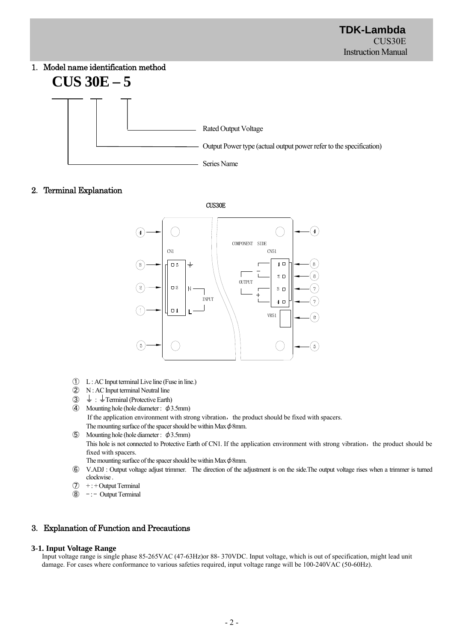# 1.Model name identification method **CUS 30E – 5**



# 2.Terminal Explanation

CUS30E



- ① L : AC Input terminal Live line (Fuse in line.)
- ② N : AC Input terminal Neutral line
- $\circled{3}$   $\downarrow$  :  $\downarrow$  Terminal (Protective Earth)
- **4** Mounting hole (hole diameter :  $\phi$ 3.5mm) If the application environment with strong vibration, the product should be fixed with spacers. The mounting surface of the spacer should be within Max  $\phi$ 8mm.
- ⑤ Mounting hole (hole diameter : φ3.5mm) This hole is not connected to Protective Earth of CN1. If the application environment with strong vibration, the product should be fixed with spacers.
	- The mounting surface of the spacer should be within Max  $\phi$ 8mm.
- ⑥ V.ADJ : Output voltage adjust trimmer. The direction of the adjustment is on the side.The output voltage rises when a trimmer is turned clockwise .
- $\overline{O}$  + : + Output Terminal
- $\circledR$  -:- Output Terminal

# 3.Explanation of Function and Precautions

#### **3-1. Input Voltage Range**

Input voltage range is single phase 85-265VAC (47-63Hz)or 88- 370VDC. Input voltage, which is out of specification, might lead unit damage. For cases where conformance to various safeties required, input voltage range will be 100-240VAC (50-60Hz).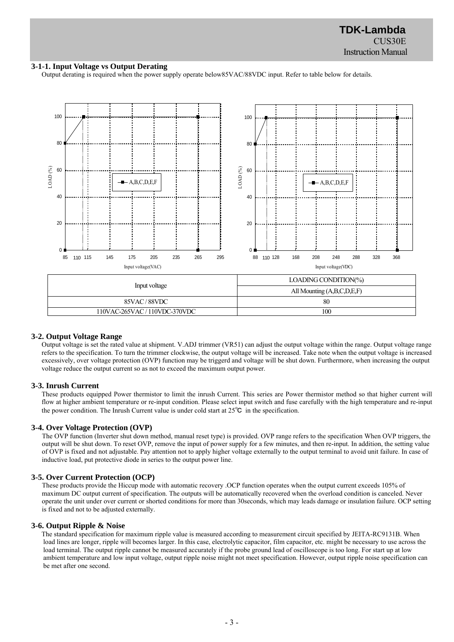#### **3-1-1. Input Voltage vs Output Derating**

Output derating is required when the power supply operate below85VAC/88VDC input. Refer to table below for details.



#### **3-2. Output Voltage Range**

Output voltage is set the rated value at shipment. V.ADJ trimmer (VR51) can adjust the output voltage within the range. Output voltage range refers to the specification. To turn the trimmer clockwise, the output voltage will be increased. Take note when the output voltage is increased excessively, over voltage protection (OVP) function may be triggerd and voltage will be shut down. Furthermore, when increasing the output voltage reduce the output current so as not to exceed the maximum output power.

#### **3-3. Inrush Current**

These products equipped Power thermistor to limit the inrush Current. This series are Power thermistor method so that higher current will flow at higher ambient temperature or re-input condition. Please select input switch and fuse carefully with the high temperature and re-input the power condition. The Inrush Current value is under cold start at 25℃ in the specification.

#### **3-4. Over Voltage Protection (OVP)**

The OVP function (Inverter shut down method, manual reset type) is provided. OVP range refers to the specification When OVP triggers, the output will be shut down. To reset OVP, remove the input of power supply for a few minutes, and then re-input. In addition, the setting value of OVP is fixed and not adjustable. Pay attention not to apply higher voltage externally to the output terminal to avoid unit failure. In case of inductive load, put protective diode in series to the output power line.

#### **3-5. Over Current Protection (OCP)**

These products provide the Hiccup mode with automatic recovery .OCP function operates when the output current exceeds 105% of maximum DC output current of specification. The outputs will be automatically recovered when the overload condition is canceled. Never operate the unit under over current or shorted conditions for more than 30seconds, which may leads damage or insulation failure. OCP setting is fixed and not to be adjusted externally.

#### **3-6. Output Ripple & Noise**

The standard specification for maximum ripple value is measured according to measurement circuit specified by JEITA-RC9131B. When load lines are longer, ripple will becomes larger. In this case, electrolytic capacitor, film capacitor, etc. might be necessary to use across the load terminal. The output ripple cannot be measured accurately if the probe ground lead of oscilloscope is too long. For start up at low ambient temperature and low input voltage, output ripple noise might not meet specification. However, output ripple noise specification can be met after one second.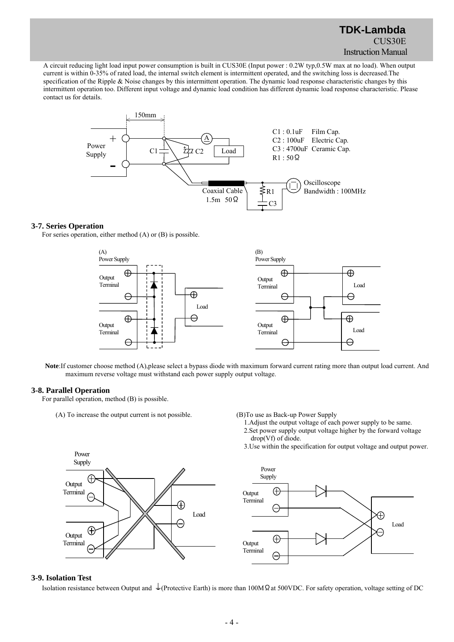A circuit reducing light load input power consumption is built in CUS30E (Input power : 0.2W typ,0.5W max at no load). When output current is within 0-35% of rated load, the internal switch element is intermittent operated, and the switching loss is decreased.The specification of the Ripple & Noise changes by this intermittent operation. The dynamic load response characteristic changes by this intermittent operation too. Different input voltage and dynamic load condition has different dynamic load response characteristic. Please contact us for details.



#### **3-7. Series Operation**

For series operation, either method (A) or (B) is possible.



**Note**:If customer choose method (A),please select a bypass diode with maximum forward current rating more than output load current. And maximum reverse voltage must withstand each power supply output voltage.

#### **3-8. Parallel Operation**

For parallel operation, method (B) is possible.

(A) To increase the output current is not possible. (B)To use as Back-up Power Supply

1.Adjust the output voltage of each power supply to be same.

- 2.Set power supply output voltage higher by the forward voltage drop(Vf) of diode.
- 3.Use within the specification for output voltage and output power.





#### **3-9. Isolation Test**

Isolation resistance between Output and  $\pm$ (Protective Earth) is more than 100MΩat 500VDC. For safety operation, voltage setting of DC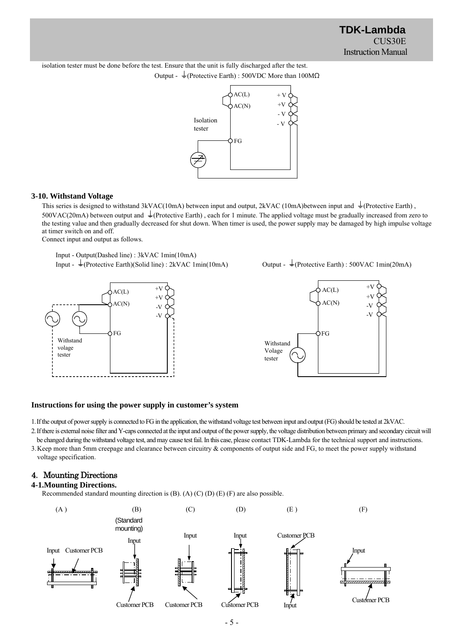isolation tester must be done before the test. Ensure that the unit is fully discharged after the test. Output -  $\frac{1}{2}$ (Protective Earth) : 500VDC More than 100M $\Omega$ 



#### **3-10. Withstand Voltage**

This series is designed to withstand 3kVAC(10mA) between input and output, 2kVAC (10mA)between input and  $\downarrow$  (Protective Earth), 500VAC(20mA) between output and  $\perp$ (Protective Earth), each for 1 minute. The applied voltage must be gradually increased from zero to the testing value and then gradually decreased for shut down. When timer is used, the power supply may be damaged by high impulse voltage at timer switch on and off.

Connect input and output as follows.

Input - Output(Dashed line) : 3kVAC 1min(10mA) Input -  $\frac{1}{2}$ (Protective Earth)(Solid line) : 2kVAC 1min(10mA) Output -  $\frac{1}{2}$ (Protective Earth) : 500VAC 1min(20mA)





## **Instructions for using the power supply in customer's system**

1.If the output of power supply is connected to FG in the application, the withstand voltage test between input and output (FG) should be tested at 2kVAC.

2.If there is external noise filter and Y-caps connected at the input and output of the power supply, the voltage distribution between primary and secondary circuit will be changed during the withstand voltage test, and may cause test fail. In this case, please contact TDK-Lambda for the technical support and instructions.

3.Keep more than 5mm creepage and clearance between circuitry & components of output side and FG, to meet the power supply withstand voltage specification.

# 4.Mounting Directions

#### **4-1.Mounting Directions.**

Recommended standard mounting direction is (B). (A) (C) (D) (E) (F) are also possible.

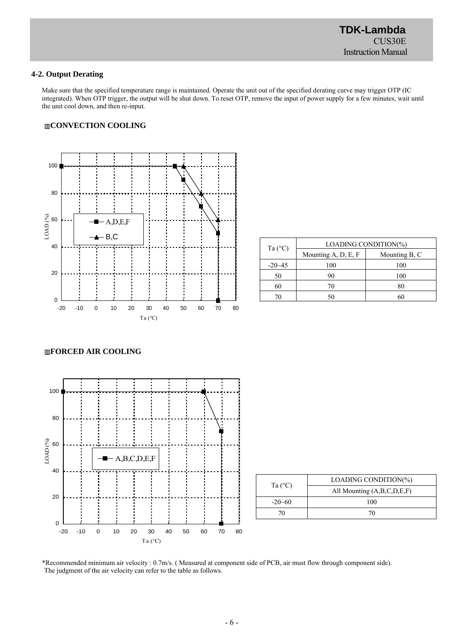### **4-2. Output Derating**

Make sure that the specified temperature range is maintained. Operate the unit out of the specified derating curve may trigger OTP (IC integrated). When OTP trigger, the output will be shut down. To reset OTP, remove the input of power supply for a few minutes, wait until the unit cool down, and then re-input.

#### ▥**CONVECTION COOLING**



| Ta $(^{\circ}C)$ | LOADING CONDITION(%) |               |  |
|------------------|----------------------|---------------|--|
|                  | Mounting A, D, E, F  | Mounting B, C |  |
| $-20-45$         | 100                  | 100           |  |
| 50               | 90                   | 100           |  |
| 60               | 70                   | 80            |  |
|                  | 50                   | 60            |  |

#### ▥**FORCED AIR COOLING**



| Ta $(^{\circ}C)$ | LOADING CONDITION(%)       |  |  |
|------------------|----------------------------|--|--|
|                  | All Mounting (A,B,C,D,E,F) |  |  |
| $-20 - 60$       | 100                        |  |  |
|                  | 70                         |  |  |

\*Recommended minimum air velocity : 0.7m/s. ( Measured at component side of PCB, air must flow through component side). The judgment of the air velocity can refer to the table as follows.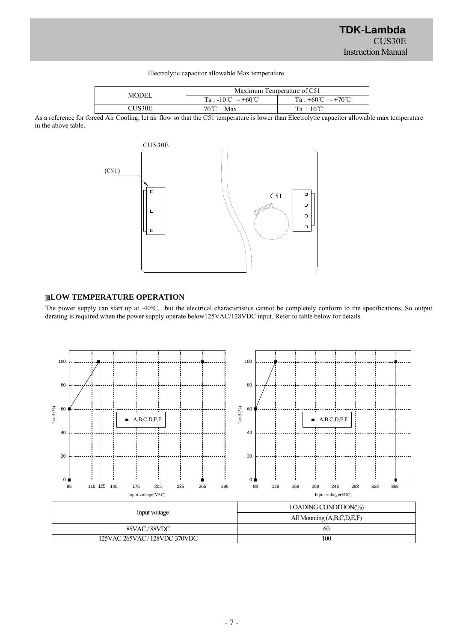#### Electrolytic capacitor allowable Max temperature

| MODEL. | Maximum Temperature of C51                         |                                       |  |
|--------|----------------------------------------------------|---------------------------------------|--|
|        | $Ta: -10^{\circ}\text{C} \sim +60^{\circ}\text{C}$ | $Ta : +60^{\circ}C \sim +70^{\circ}C$ |  |
| CHS30E | 70°C<br>Max                                        | $Ta + 10^{\circ}C$                    |  |

As a reference for forced Air Cooling, let air flow so that the C51 temperature is lower than Electrolytic capacitor allowable max temperature in the above table.



# ▥**LOW TEMPERATURE OPERATION**

The power supply can start up at -40℃, but the electrical characteristics cannot be completely conform to the specifications. So output derating is required when the power supply operate below125VAC/128VDC input. Refer to table below for details.

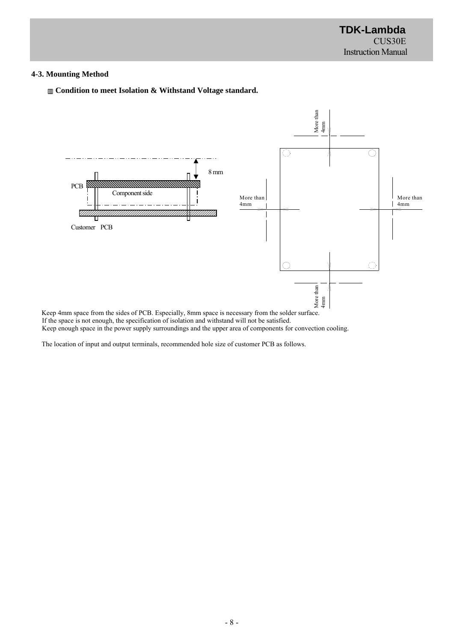## **4-3. Mounting Method**





Keep 4mm space from the sides of PCB. Especially, 8mm space is necessary from the solder surface. If the space is not enough, the specification of isolation and withstand will not be satisfied. Keep enough space in the power supply surroundings and the upper area of components for convection cooling.

The location of input and output terminals, recommended hole size of customer PCB as follows.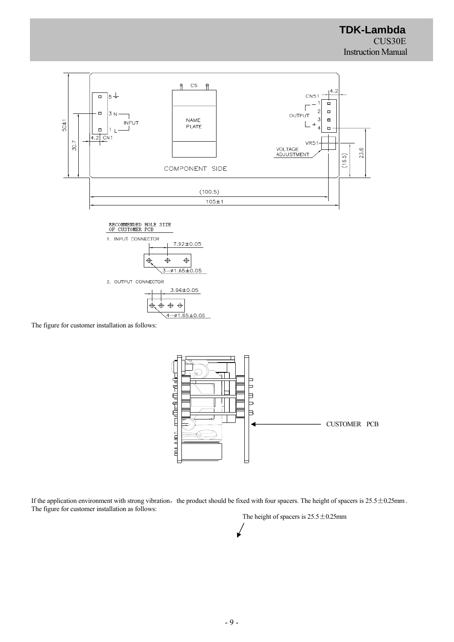

3.96±0.05  $\Leftrightarrow$   $\Leftrightarrow$  $\frac{1}{2}$  $\bigoplus$  $4 - 01.65 \pm 0.05$ 

The figure for customer installation as follows:



If the application environment with strong vibration, the product should be fixed with four spacers. The height of spacers is  $25.5 \pm 0.25$ mm . The figure for customer installation as follows:

The height of spacers is  $25.5 \pm 0.25$ mm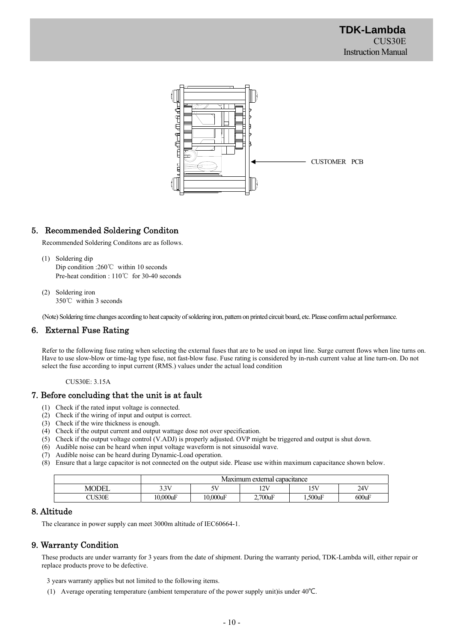

# 5. Recommended Soldering Conditon

Recommended Soldering Conditons are as follows.

- (1) Soldering dip Dip condition :260℃ within 10 seconds Pre-heat condition : 110℃ for 30-40 seconds
- (2) Soldering iron 350℃ within 3 seconds

(Note) Soldering time changes according to heat capacity of soldering iron, pattern on printed circuit board, etc. Please confirm actual performance.

# 6. External Fuse Rating

Refer to the following fuse rating when selecting the external fuses that are to be used on input line. Surge current flows when line turns on. Have to use slow-blow or time-lag type fuse, not fast-blow fuse. Fuse rating is considered by in-rush current value at line turn-on. Do not select the fuse according to input current (RMS.) values under the actual load condition

CUS30E: 3.15A

## 7. Before concluding that the unit is at fault

- (1) Check if the rated input voltage is connected.
- (2) Check if the wiring of input and output is correct.
- (3) Check if the wire thickness is enough.
- (4) Check if the output current and output wattage dose not over specification.
- (5) Check if the output voltage control (V.ADJ) is properly adjusted. OVP might be triggered and output is shut down.
- (6) Audible noise can be heard when input voltage waveform is not sinusoidal wave.
- (7) Audible noise can be heard during Dynamic-Load operation.
- (8) Ensure that a large capacitor is not connected on the output side. Please use within maximum capacitance shown below.

|              | Maximum external canacitance |                               |                                   |            |       |
|--------------|------------------------------|-------------------------------|-----------------------------------|------------|-------|
| <b>MODEL</b> | 3.3V                         | 77 Z<br>$\tilde{\phantom{a}}$ | 12 <sup>1</sup><br>$\overline{ }$ | 15V        | 24V   |
| CUS30E       | $10.000$ uF                  | $10.000$ uF                   | $2.700$ uF                        | $1.500$ uF | 600uF |

#### 8. Altitude

The clearance in power supply can meet 3000m altitude of IEC60664-1.

# 9. Warranty Condition

These products are under warranty for 3 years from the date of shipment. During the warranty period, TDK-Lambda will, either repair or replace products prove to be defective.

3 years warranty applies but not limited to the following items.

(1) Average operating temperature (ambient temperature of the power supply unit)is under 40℃.